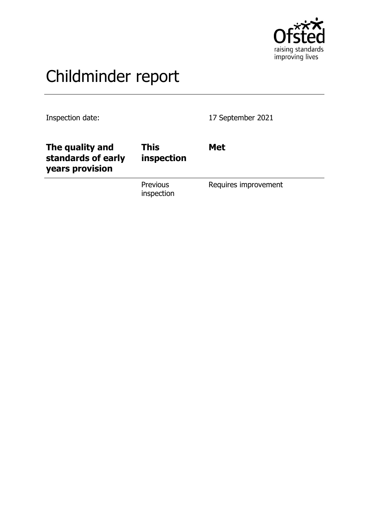

# Childminder report

Inspection date: 17 September 2021

| The quality and<br>standards of early<br>years provision | This<br>inspection            | <b>Met</b>           |
|----------------------------------------------------------|-------------------------------|----------------------|
|                                                          | <b>Previous</b><br>inspection | Requires improvement |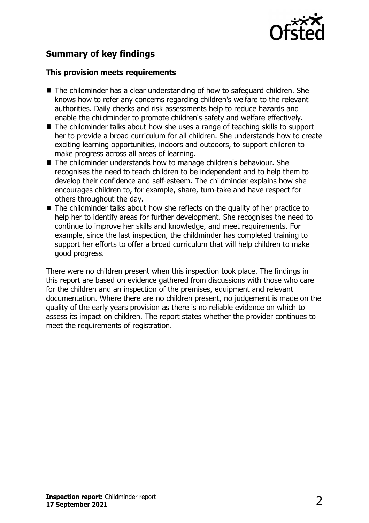

## **Summary of key findings**

### **This provision meets requirements**

- $\blacksquare$  The childminder has a clear understanding of how to safeguard children. She knows how to refer any concerns regarding children's welfare to the relevant authorities. Daily checks and risk assessments help to reduce hazards and enable the childminder to promote children's safety and welfare effectively.
- $\blacksquare$  The childminder talks about how she uses a range of teaching skills to support her to provide a broad curriculum for all children. She understands how to create exciting learning opportunities, indoors and outdoors, to support children to make progress across all areas of learning.
- The childminder understands how to manage children's behaviour. She recognises the need to teach children to be independent and to help them to develop their confidence and self-esteem. The childminder explains how she encourages children to, for example, share, turn-take and have respect for others throughout the day.
- The childminder talks about how she reflects on the quality of her practice to help her to identify areas for further development. She recognises the need to continue to improve her skills and knowledge, and meet requirements. For example, since the last inspection, the childminder has completed training to support her efforts to offer a broad curriculum that will help children to make good progress.

There were no children present when this inspection took place. The findings in this report are based on evidence gathered from discussions with those who care for the children and an inspection of the premises, equipment and relevant documentation. Where there are no children present, no judgement is made on the quality of the early years provision as there is no reliable evidence on which to assess its impact on children. The report states whether the provider continues to meet the requirements of registration.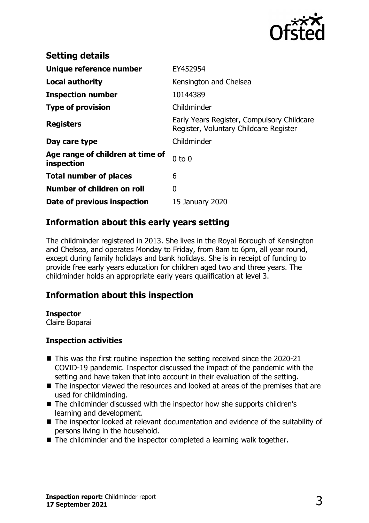

| <b>Setting details</b>                         |                                                                                      |
|------------------------------------------------|--------------------------------------------------------------------------------------|
| Unique reference number                        | EY452954                                                                             |
| <b>Local authority</b>                         | Kensington and Chelsea                                                               |
| <b>Inspection number</b>                       | 10144389                                                                             |
| <b>Type of provision</b>                       | Childminder                                                                          |
| <b>Registers</b>                               | Early Years Register, Compulsory Childcare<br>Register, Voluntary Childcare Register |
| Day care type                                  | Childminder                                                                          |
| Age range of children at time of<br>inspection | $0$ to $0$                                                                           |
| <b>Total number of places</b>                  | 6                                                                                    |
| Number of children on roll                     | 0                                                                                    |
| Date of previous inspection                    | 15 January 2020                                                                      |

## **Information about this early years setting**

The childminder registered in 2013. She lives in the Royal Borough of Kensington and Chelsea, and operates Monday to Friday, from 8am to 6pm, all year round, except during family holidays and bank holidays. She is in receipt of funding to provide free early years education for children aged two and three years. The childminder holds an appropriate early years qualification at level 3.

## **Information about this inspection**

#### **Inspector**

Claire Boparai

#### **Inspection activities**

- $\blacksquare$  This was the first routine inspection the setting received since the 2020-21 COVID-19 pandemic. Inspector discussed the impact of the pandemic with the setting and have taken that into account in their evaluation of the setting.
- $\blacksquare$  The inspector viewed the resources and looked at areas of the premises that are used for childminding.
- The childminder discussed with the inspector how she supports children's learning and development.
- The inspector looked at relevant documentation and evidence of the suitability of persons living in the household.
- $\blacksquare$  The childminder and the inspector completed a learning walk together.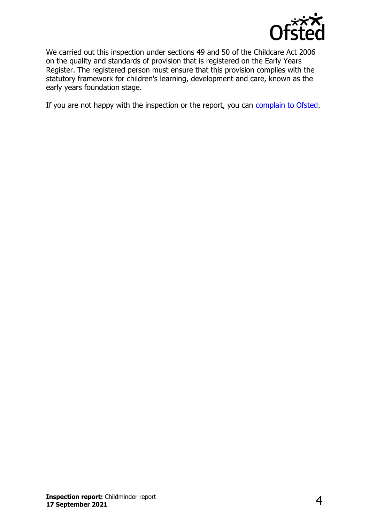

We carried out this inspection under sections 49 and 50 of the Childcare Act 2006 on the quality and standards of provision that is registered on the Early Years Register. The registered person must ensure that this provision complies with the statutory framework for children's learning, development and care, known as the early years foundation stage.

If you are not happy with the inspection or the report, you can [complain to Ofsted](http://www.gov.uk/complain-ofsted-report).